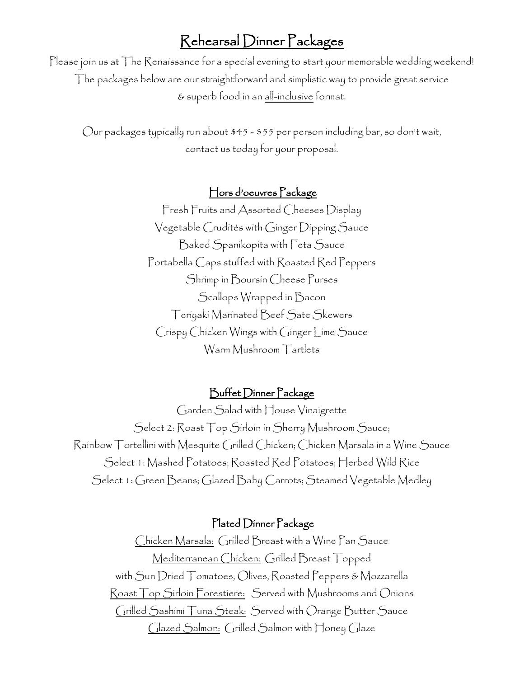# Rehearsal Dinner Packages

Please join us at The Renaissance for a special evening to start your memorable wedding weekend! The packages below are our straightforward and simplistic way to provide great service & superb food in an all-inclusive format.

Our packages typically run about \$45 - \$55 per person including bar, so don't wait, contact us today for your proposal.

## Hors d'oeuvres Package

Fresh Fruits and Assorted Cheeses Display Vegetable Crudités with Ginger Dipping Sauce Baked Spanikopita with Feta Sauce Portabella Caps stuffed with Roasted Red Peppers Shrimp in Boursin Cheese Purses Scallops Wrapped in Bacon Teriyaki Marinated Beef Sate Skewers Crispy Chicken Wings with Ginger Lime Sauce Warm Mushroom Tartlets

### Buffet Dinner Package

Garden Salad with House Vinaigrette Select 2: Roast Top Sirloin in Sherry Mushroom Sauce; Rainbow Tortellini with Mesquite Grilled Chicken; Chicken Marsala in a Wine Sauce Select 1: Mashed Potatoes; Roasted Red Potatoes; Herbed Wild Rice Select 1: Green Beans; Glazed Baby Carrots; Steamed Vegetable Medley

#### Plated Dinner Package

Chicken Marsala: Grilled Breast with a Wine Pan Sauce Mediterranean Chicken: Grilled Breast Topped with Sun Dried Tomatoes, Olives, Roasted Peppers & Mozzarella Roast Top Sirloin Forestiere: Served with Mushrooms and Onions Grilled Sashimi Tuna Steak: Served with Orange Butter Sauce Glazed Salmon: Grilled Salmon with Honey Glaze